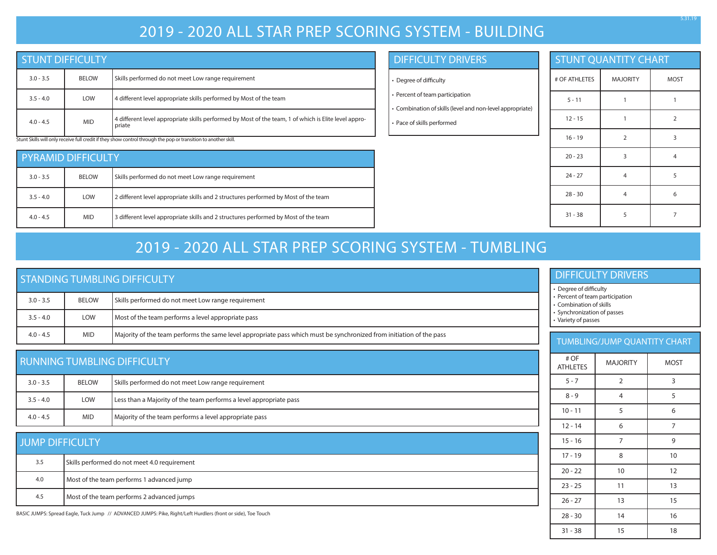### **2019 - 2020 ALL STAR PREP SCORING SYSTEM - BUILDING**

|             | <b>STUNT DIFFICULTY</b> |                                                                                                                |  |
|-------------|-------------------------|----------------------------------------------------------------------------------------------------------------|--|
| $3.0 - 3.5$ | <b>BELOW</b>            | Skills performed do not meet Low range requirement                                                             |  |
| $3.5 - 4.0$ | LOW                     | 4 different level appropriate skills performed by Most of the team                                             |  |
| $4.0 - 4.5$ | <b>MID</b>              | 4 different level appropriate skills performed by Most of the team, 1 of which is Elite level appro-<br>priate |  |

Stunt Skills will only receive full credit if they show control through the pop or transition to another skill.

| <b>PYRAMID DIFFICULTY</b> |              |                                                                                     |
|---------------------------|--------------|-------------------------------------------------------------------------------------|
| $3.0 - 3.5$               | <b>BELOW</b> | Skills performed do not meet Low range requirement                                  |
| $3.5 - 4.0$               | LOW          | 2 different level appropriate skills and 2 structures performed by Most of the team |
| $4.0 - 4.5$               | <b>MID</b>   | 3 different level appropriate skills and 2 structures performed by Most of the team |

|  | <b>DIFFICULTY DRIVERS</b> |
|--|---------------------------|
|  |                           |

**Degree of difficulty** 

- Percent of team participation
- Combination of skills (level and non-level appropriate)
- Pace of skills performed

|               | וווחוור ביווויוחטער וויוטוכ |                |  |
|---------------|-----------------------------|----------------|--|
| # OF ATHLETES | <b>MAJORITY</b>             | <b>MOST</b>    |  |
| $5 - 11$      | 1                           | 1              |  |
| $12 - 15$     |                             | $\overline{2}$ |  |
| $16 - 19$     | $\overline{2}$              | 3              |  |
| $20 - 23$     | 3                           | $\overline{4}$ |  |
| $24 - 27$     | 4                           | 5              |  |
| $28 - 30$     | 4                           | 6              |  |
| $31 - 38$     | 5                           | 7              |  |

STUNT QUANTITY CHAPT

### **2019 - 2020 ALL STAR PREP SCORING SYSTEM - TUMBLING**

|             | <b>STANDING TUMBLING DIFFICULTY</b> |                                                                                                                      |  |
|-------------|-------------------------------------|----------------------------------------------------------------------------------------------------------------------|--|
| $3.0 - 3.5$ | <b>BELOW</b>                        | Skills performed do not meet Low range requirement                                                                   |  |
| $3.5 - 4.0$ | LOW                                 | Most of the team performs a level appropriate pass                                                                   |  |
| $4.0 - 4.5$ | <b>MID</b>                          | Majority of the team performs the same level appropriate pass which must be synchronized from initiation of the pass |  |

# RUNNING TUMBLING DIFFICULTY

| $3.0 - 3.5$ | <b>BELOW</b> | Skills performed do not meet Low range requirement                 |
|-------------|--------------|--------------------------------------------------------------------|
| $3.5 - 4.0$ | <b>LOW</b>   | Less than a Majority of the team performs a level appropriate pass |
| $4.0 - 4.5$ | <b>MID</b>   | Majority of the team performs a level appropriate pass             |

### JUMP DIFFICULTY 3.5 Skills performed do not meet 4.0 requirement 4.0 Most of the team performs 1 advanced jump 4.5 Most of the team performs 2 advanced jumps

BASIC JUMPS: Spread Eagle, Tuck Jump // ADVANCED JUMPS: Pike, Right/Left Hurdlers (front or side), Toe Touch

### DIFFICULTY DRIVERS

- Degree of difficulty
- Percent of team participation
- Combination of skills
- Synchronization of passes
- Variety of passes

#### TUMBLING/JUMP QUANTITY CHART

| # OF<br><b>ATHLETES</b> | <b>MAJORITY</b> | <b>MOST</b> |
|-------------------------|-----------------|-------------|
| $5 - 7$                 | 2               | 3           |
| $8 - 9$                 | 4               | 5           |
| $10 - 11$               | 5               | 6           |
| $12 - 14$               | 6               | 7           |
| $15 - 16$               | 7               | 9           |
| $17 - 19$               | 8               | 10          |
| $20 - 22$               | 10              | 12          |
| $23 - 25$               | 11              | 13          |
| $26 - 27$               | 13              | 15          |
| $28 - 30$               | 14              | 16          |
| $31 - 38$               | 15              | 18          |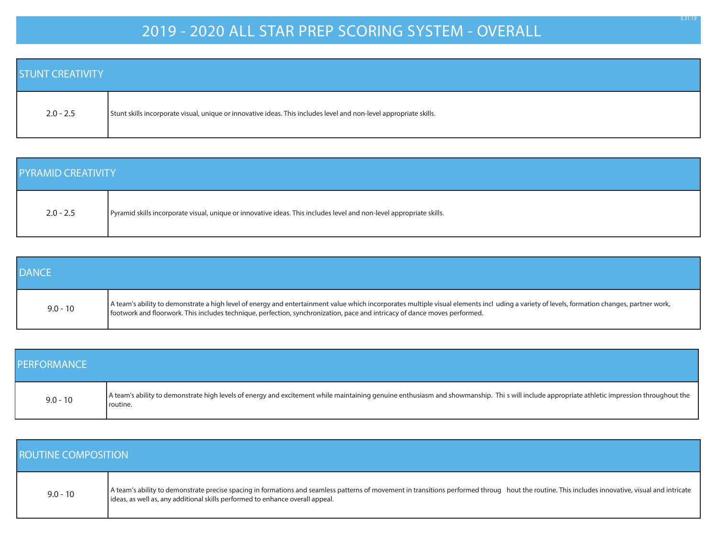### **2019 - 2020 ALL STAR PREP SCORING SYSTEM - OVERALL**

| <b>STUNT CREATIVITY</b> |                                                                                                                    |  |
|-------------------------|--------------------------------------------------------------------------------------------------------------------|--|
| $2.0 - 2.5$             | Stunt skills incorporate visual, unique or innovative ideas. This includes level and non-level appropriate skills. |  |

5.31.

| <b>PYRAMID CREATIVITY</b> |                                                                                                                      |  |
|---------------------------|----------------------------------------------------------------------------------------------------------------------|--|
| $2.0 - 2.5$               | Pyramid skills incorporate visual, unique or innovative ideas. This includes level and non-level appropriate skills. |  |

| <b>DANCE</b> |                                                                                                                                                                                                                                                                                                                          |
|--------------|--------------------------------------------------------------------------------------------------------------------------------------------------------------------------------------------------------------------------------------------------------------------------------------------------------------------------|
| $9.0 - 10$   | A team's ability to demonstrate a high level of energy and entertainment value which incorporates multiple visual elements including a variety of levels, formation changes, partner work,<br>footwork and floorwork. This includes technique, perfection, synchronization, pace and intricacy of dance moves performed. |

| <b>PERFORMANCE</b> |                                                                                                                                                                                                          |
|--------------------|----------------------------------------------------------------------------------------------------------------------------------------------------------------------------------------------------------|
| $9.0 - 10$         | A team's ability to demonstrate high levels of energy and excitement while maintaining genuine enthusiasm and showmanship. Thi s will include appropriate athletic impression throughout the<br>routine. |

| <b>ROUTINE COMPOSITION</b> |                                                                                                                                                                                                                                                                                    |  |
|----------------------------|------------------------------------------------------------------------------------------------------------------------------------------------------------------------------------------------------------------------------------------------------------------------------------|--|
| $9.0 - 10$                 | A team's ability to demonstrate precise spacing in formations and seamless patterns of movement in transitions performed throug hout the routine. This includes innovative, visual and intricate<br>lideas, as well as, any additional skills performed to enhance overall appeal. |  |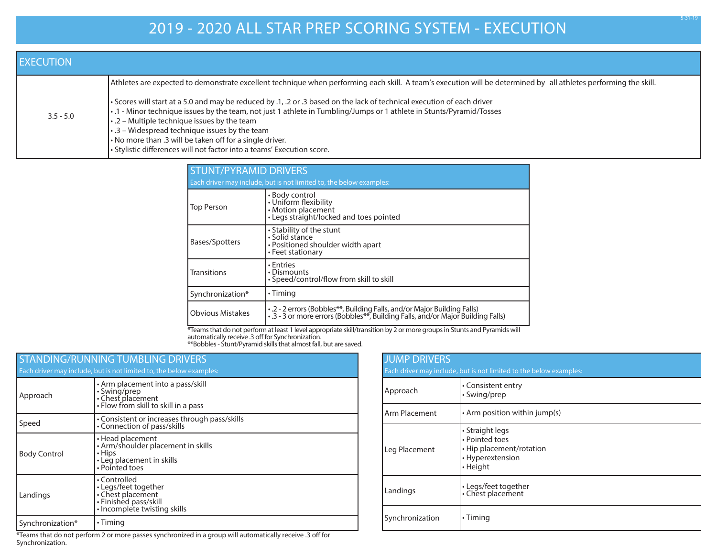| <b>EXECUTION</b> |                                                                                                                                                                                                                                                                                                                                                                                                                                                                                                                                                                                                                                                                                    |
|------------------|------------------------------------------------------------------------------------------------------------------------------------------------------------------------------------------------------------------------------------------------------------------------------------------------------------------------------------------------------------------------------------------------------------------------------------------------------------------------------------------------------------------------------------------------------------------------------------------------------------------------------------------------------------------------------------|
| $3.5 - 5.0$      | Athletes are expected to demonstrate excellent technique when performing each skill. A team's execution will be determined by all athletes performing the skill.<br>Scores will start at a 5.0 and may be reduced by .1, .2 or .3 based on the lack of technical execution of each driver<br>. 1 - Minor technique issues by the team, not just 1 athlete in Tumbling/Jumps or 1 athlete in Stunts/Pyramid/Tosses<br>$\cdot$ .2 – Multiple technique issues by the team<br>$\cdot$ .3 – Widespread technique issues by the team<br>$\lvert \cdot$ No more than .3 will be taken off for a single driver.<br>• Stylistic differences will not factor into a teams' Execution score. |

| <b>STUNT/PYRAMID DRIVERS</b>                                                                                                                                                            |                                                                      |  |  |
|-----------------------------------------------------------------------------------------------------------------------------------------------------------------------------------------|----------------------------------------------------------------------|--|--|
|                                                                                                                                                                                         | Each driver may include, but is not limited to, the below examples:  |  |  |
| • Body control<br>• Uniform flexibility<br><b>Top Person</b><br>• Motion placement<br>• Legs straight/locked and toes pointed                                                           |                                                                      |  |  |
| • Stability of the stunt<br>· Solid stance<br>Bases/Spotters<br>• Positioned shoulder width apart<br>• Feet stationary                                                                  |                                                                      |  |  |
| Transitions                                                                                                                                                                             | • Entries<br>• Dismounts<br>• Speed/control/flow from skill to skill |  |  |
| • Timing<br>Synchronization*                                                                                                                                                            |                                                                      |  |  |
| • .2 - 2 errors (Bobbles**, Building Falls, and/or Major Building Falls)<br>• .3 - 3 or more errors (Bobbles**, Building Falls, and/or Major Building Falls)<br><b>Obvious Mistakes</b> |                                                                      |  |  |

\*Teams that do not perform atleast 1 level appropriate skill/transition by 2 or more groupsin Stunts and Pyramids will automatically receive .3 off for Synchronization.

\*\*Bobbles - Stunt/Pyramid skills that almost fall, but are saved.

| <b>STANDING/RUNNING TUMBLING DRIVERS</b><br>Each driver may include, but is not limited to, the below examples:            |                                                                                                                       |  |  |
|----------------------------------------------------------------------------------------------------------------------------|-----------------------------------------------------------------------------------------------------------------------|--|--|
| • Arm placement into a pass/skill<br>· Swing/prep<br>Approach<br>• Chest placement<br>• Flow from skill to skill in a pass |                                                                                                                       |  |  |
| Speed                                                                                                                      | • Consistent or increases through pass/skills<br>• Connection of pass/skills                                          |  |  |
| <b>Body Control</b>                                                                                                        | • Head placement<br>• Arm/shoulder placement in skills<br>$\cdot$ Hips<br>· Leg placement in skills<br>· Pointed toes |  |  |
| • Controlled<br>• Legs/feet together<br>Chest placement<br>Finished pass/skill<br>Landings<br>· Incomplete twisting skills |                                                                                                                       |  |  |
| Synchronization*                                                                                                           | • Timing                                                                                                              |  |  |

| <b>JUMP DRIVERS</b><br>Each driver may include, but is not limited to the below examples: |                                                                                               |  |
|-------------------------------------------------------------------------------------------|-----------------------------------------------------------------------------------------------|--|
| Approach                                                                                  | • Consistent entry<br>• Swing/prep                                                            |  |
| Arm Placement                                                                             | $\cdot$ Arm position within jump(s)                                                           |  |
| Leg Placement                                                                             | • Straight legs<br>• Pointed toes<br>• Hip placement/rotation<br>• Hyperextension<br>• Height |  |
| Landings                                                                                  | • Legs/feet together<br>• Chest placement                                                     |  |
| Synchronization                                                                           | • Timing                                                                                      |  |

\*Teams that do not perform 2 or more passes synchronized in a group will automatically receive .3 off for Synchronization.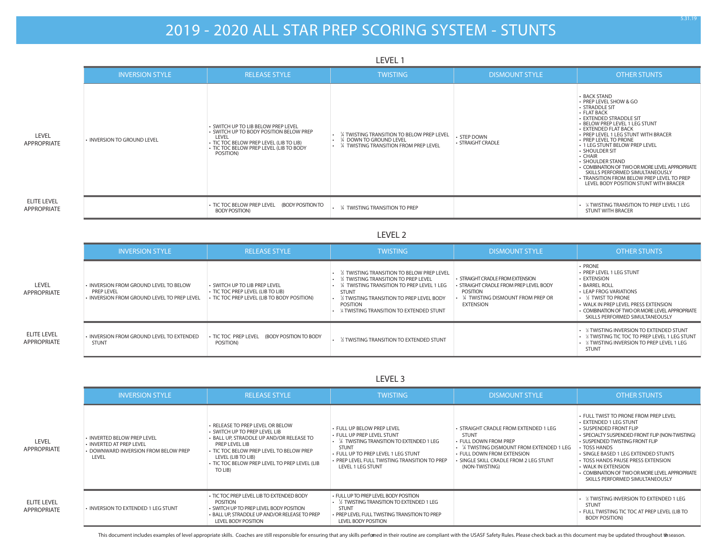## **2019 - <sup>2020</sup> ALL STAR PREP SCORING SYSTEM - STUNTS** 5.31.19

|                                          | LEVEL 1                     |                                                                                                                                                                                            |                                                                                                                                              |                                  |                                                                                                                                                                                                                                                                                                                                                                                                                                                                                                    |
|------------------------------------------|-----------------------------|--------------------------------------------------------------------------------------------------------------------------------------------------------------------------------------------|----------------------------------------------------------------------------------------------------------------------------------------------|----------------------------------|----------------------------------------------------------------------------------------------------------------------------------------------------------------------------------------------------------------------------------------------------------------------------------------------------------------------------------------------------------------------------------------------------------------------------------------------------------------------------------------------------|
|                                          | <b>INVERSION STYLE</b>      | <b>RELEASE STYLE</b>                                                                                                                                                                       | <b>TWISTING</b>                                                                                                                              | <b>DISMOUNT STYLE</b>            | <b>OTHER STUNTS</b>                                                                                                                                                                                                                                                                                                                                                                                                                                                                                |
| LEVEL<br><b>APPROPRIATE</b>              | • INVERSION TO GROUND LEVEL | • SWITCH UP TO LIB BELOW PREP LEVEL<br>• SWITCH UP TO BODY POSITION BELOW PREP<br>LEVEL<br>• TIC TOC BELOW PREP LEVEL (LIB TO LIB)<br>• TIC TOC BELOW PREP LEVEL (LIB TO BODY<br>POSITION) | 1/4 TWISTING TRANSITION TO BELOW PREP LEVEL<br>$\bullet$<br>1/4 DOWN TO GROUND LEVEL<br>$\cdot$<br>• 1/4 TWISTING TRANSITION FROM PREP LEVEL | · STEP DOWN<br>· STRAIGHT CRADLE | • BACK STAND<br>. PREP LEVEL SHOW & GO<br>· STRADDLE SIT<br>• FLAT BACK<br>• EXTENDED STRADDLE SIT<br>. BELOW PREP LEVEL 1 LEG STUNT<br>• EXTENDED FLAT BACK<br>• PREP LEVEL 1 LEG STUNT WITH BRACER<br>• PREP LEVEL TO PRONE<br>• 1 LEG STUNT BELOW PREP LEVEL<br>• SHOULDER SIT<br>$\cdot$ CHAIR<br>· SHOULDER STAND<br>• COMBINATION OF TWO OR MORE LEVEL APPROPRIATE<br>SKILLS PERFORMED SIMULTANEOUSLY<br>• TRANSITION FROM BELOW PREP LEVEL TO PREP<br>LEVEL BODY POSITION STUNT WITH BRACER |
| <b>ELITE LEVEL</b><br><b>APPROPRIATE</b> |                             | • TIC TOC BELOW PREP LEVEL<br><b>(BODY POSITION TO</b><br><b>BODY POSITION)</b>                                                                                                            | <sup>1/4</sup> TWISTING TRANSITION TO PREP                                                                                                   |                                  | • <i>1</i> /4 TWISTING TRANSITION TO PREP LEVEL 1 LEG<br>STUNT WITH BRACER                                                                                                                                                                                                                                                                                                                                                                                                                         |

#### **LEVEL 2**

|                                   | <b>INVERSION STYLE</b>                                                                                     | <b>RELEASE STYLE</b>                                                                                              | <b>TWISTING</b>                                                                                                                                                                                                                                           | <b>DISMOUNT STYLE</b>                                                                                                                     | <b>OTHER STUNTS</b>                                                                                                                                                                                                                                                                 |
|-----------------------------------|------------------------------------------------------------------------------------------------------------|-------------------------------------------------------------------------------------------------------------------|-----------------------------------------------------------------------------------------------------------------------------------------------------------------------------------------------------------------------------------------------------------|-------------------------------------------------------------------------------------------------------------------------------------------|-------------------------------------------------------------------------------------------------------------------------------------------------------------------------------------------------------------------------------------------------------------------------------------|
| LEVEL<br>APPROPRIATE              | • INVERSION FROM GROUND LEVEL TO BELOW<br><b>PREP LEVEL</b><br>• INVERSION FROM GROUND LEVEL TO PREP LEVEL | . SWITCH UP TO LIB PREP LEVEL<br>• TIC TOC PREP LEVEL (LIB TO LIB)<br>• TIC TOC PREP LEVEL (LIB TO BODY POSITION) | 1/2 TWISTING TRANSITION TO BELOW PREP LEVEL<br>1/2 TWISTING TRANSITION TO PREP LEVEL<br>1/4 TWISTING TRANSITION TO PREP LEVEL 1 LEG<br>STUNT<br><b>3/ TWISTING TRANSITION TO PREP LEVEL BODY</b><br>POSITION<br>1/4 TWISTING TRANSITION TO EXTENDED STUNT | • STRAIGHT CRADLE FROM EXTENSION<br>• STRAIGHT CRADLE FROM PREP LEVEL BODY<br>POSITION<br>1/4 TWISTING DISMOUNT FROM PREP OR<br>EXTENSION | $\cdot$ PRONE<br>• PREP LEVEL 1 LEG STUNT<br>$\overline{\phantom{a}}$ extension<br>· BARREL ROLL<br>• LEAP FROG VARIATIONS<br>$\cdot$ % TWIST TO PRONE<br>• WALK IN PREP LEVEL PRESS EXTENSION<br>• COMBINATION OF TWO OR MORE LEVEL APPROPRIATE<br>SKILLS PERFORMED SIMULTANEOUSLY |
| <b>ELITE LEVEL</b><br>APPROPRIATE | • INVERSION FROM GROUND LEVEL TO EXTENDED<br><b>STUNT</b>                                                  | . TIC TOC PREP LEVEL<br><b>(BODY POSITION TO BODY</b><br>POSITION)                                                | 1/2 TWISTING TRANSITION TO EXTENDED STUNT                                                                                                                                                                                                                 |                                                                                                                                           | • <i>V</i> TWISTING INVERSION TO EXTENDED STUNT<br>• <i>\{</i> TWISTING TIC TOC TO PREP LEVEL 1 LEG STUNT<br>• ½ TWISTING INVERSION TO PREP LEVEL 1 LEG<br><b>STUNT</b>                                                                                                             |

#### **LEVEL 3**

|                                   | <b>INVERSION STYLE</b>                                                                                   | <b>RELEASE STYLE</b>                                                                                                                                                                                                                                          | <b>TWISTING</b>                                                                                                                                                                                                                           | <b>DISMOUNT STYLE</b>                                                                                                                                                                                                                | <b>OTHER STUNTS</b>                                                                                                                                                                                                                                                                                                                                                                             |
|-----------------------------------|----------------------------------------------------------------------------------------------------------|---------------------------------------------------------------------------------------------------------------------------------------------------------------------------------------------------------------------------------------------------------------|-------------------------------------------------------------------------------------------------------------------------------------------------------------------------------------------------------------------------------------------|--------------------------------------------------------------------------------------------------------------------------------------------------------------------------------------------------------------------------------------|-------------------------------------------------------------------------------------------------------------------------------------------------------------------------------------------------------------------------------------------------------------------------------------------------------------------------------------------------------------------------------------------------|
| LEVEL<br>APPROPRIATE              | • INVERTED BELOW PREP LEVEL<br>• INVERTED AT PREP LEVEL<br>• DOWNWARD INVERSION FROM BELOW PREP<br>LEVEL | . RELEASE TO PREP LEVEL OR BELOW<br>• SWITCH UP TO PREP LEVEL LIB<br>• BALL UP. STRADDLE UP AND/OR RELEASE TO<br>PREP LEVEL LIB<br>• TIC TOC BELOW PREP LEVEL TO BELOW PREP<br>LEVEL (LIB TO LIB)<br>• TIC TOC BELOW PREP LEVEL TO PREP LEVEL (LIB<br>TO LIB) | • FULL UP BELOW PREP LEVEL<br>• FULL UP PREP LEVEL STUNT<br>• ¼ TWISTING TRANSITION TO EXTENDED 1 LEG<br><b>STUNT</b><br>. FULL UP TO PREP LEVEL 1 LEG STUNT<br>• PREP LEVEL FULL TWISTING TRANSITION TO PREP<br><b>LEVEL 1 LEG STUNT</b> | • STRAIGHT CRADLE FROM EXTENDED 1 LEG<br><b>STUNT</b><br>$\cdot$ FULL DOWN FROM PREP<br>• <i>\{A TWISTING DISMOUNT FROM EXTENDED 1 LEG</i><br>• FULL DOWN FROM EXTENSION<br>• SINGLE SKILL CRADLE FROM 2 LEG STUNT<br>(NON-TWISTING) | • FULL TWIST TO PRONE FROM PREP LEVEL<br>• EXTENDED 1 LEG STUNT<br>• SUSPENDED FRONT FLIP<br>· SPECIALTY SUSPENDED FRONT FLIP (NON-TWISTING)<br>. SUSPENDED TWISTING FRONT FLIP<br>• TOSS HANDS<br>• SINGLE BASED 1 LEG EXTENDED STUNTS<br>• TOSS HANDS PAUSE PRESS EXTENSION<br>$\cdot$ WALK IN EXTENSION<br>• COMBINATION OF TWO OR MORE LEVEL APPROPRIATE<br>SKILLS PERFORMED SIMULTANEOUSLY |
| ELITE LEVEL<br><b>APPROPRIATE</b> | • INVERSION TO EXTENDED 1 LEG STUNT                                                                      | • TIC TOC PREP LEVEL LIB TO EXTENDED BODY<br><b>POSITION</b><br>• SWITCH UP TO PREP LEVEL BODY POSITION<br>• BALL UP. STRADDLE UP AND/OR RELEASE TO PREP<br><b>LEVEL BODY POSITION</b>                                                                        | • FULL UP TO PREP LEVEL BODY POSITION<br>• % TWISTING TRANSITION TO EXTENDED 1 LEG<br><b>STUNT</b><br>• PREP LEVEL FULL TWISTING TRANSITION TO PREP<br><b>LEVEL BODY POSITION</b>                                                         |                                                                                                                                                                                                                                      | • <i>V</i> TWISTING INVERSION TO EXTENDED 1 LEG<br><b>STUNT</b><br>• FULL TWISTING TIC TOC AT PREP LEVEL (LIB TO<br><b>BODY POSITION)</b>                                                                                                                                                                                                                                                       |

This document includes examples of level appropriate skills. Coaches are still responsible for ensuring that any skills performed in their routine are compliant with the USASF Safety Rules. Please check back as this docume